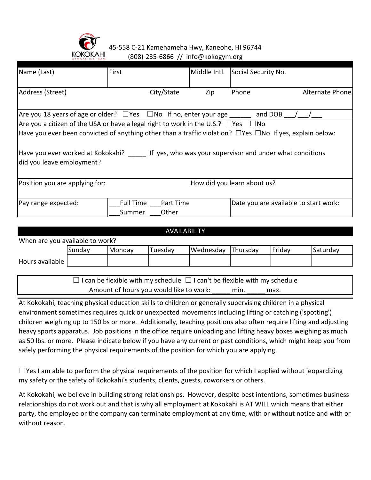

45-558 C-21 Kamehameha Hwy, Kaneohe, HI 96744 (808)-235-6866 // info@kokogym.org

| Name (Last)                                                                                                          | First     |            | Middle Intl. | Social Security No.         |                                       |
|----------------------------------------------------------------------------------------------------------------------|-----------|------------|--------------|-----------------------------|---------------------------------------|
| Address (Street)                                                                                                     |           | City/State | Zip          | Phone                       | Alternate Phone                       |
| Are you 18 years of age or older? $\Box$ Yes $\Box$ No If no, enter your age                                         |           |            |              | and DOB                     |                                       |
| Are you a citizen of the USA or have a legal right to work in the U.S.? $\Box$ Yes $\Box$ No                         |           |            |              |                             |                                       |
| Have you ever been convicted of anything other than a traffic violation? $\Box$ Yes $\Box$ No If yes, explain below: |           |            |              |                             |                                       |
| Have you ever worked at Kokokahi? If yes, who was your supervisor and under what conditions                          |           |            |              |                             |                                       |
| did you leave employment?                                                                                            |           |            |              |                             |                                       |
| Position you are applying for:                                                                                       |           |            |              | How did you learn about us? |                                       |
| Pay range expected:                                                                                                  | Full Time | Part Time  |              |                             | Date you are available to start work: |

| <b>AVAILABILITY</b>             |        |        |         |           |          |        |          |
|---------------------------------|--------|--------|---------|-----------|----------|--------|----------|
| When are you available to work? |        |        |         |           |          |        |          |
|                                 | Sundav | Monday | Tuesdav | Wednesday | Thursday | Friday | Saturday |
| Hours available                 |        |        |         |           |          |        |          |
|                                 |        |        |         |           |          |        |          |

 $\Box$  I can be flexible with my schedule  $\Box$  I can't be flexible with my schedule Amount of hours you would like to work: min. \_\_\_\_\_ max.

At Kokokahi, teaching physical education skills to children or generally supervising children in a physical environment sometimes requires quick or unexpected movements including lifting or catching ('spotting') children weighing up to 150lbs or more. Additionally, teaching positions also often require lifting and adjusting heavy sports apparatus. Job positions in the office require unloading and lifting heavy boxes weighing as much as 50 lbs. or more. Please indicate below if you have any current or past conditions, which might keep you from safely performing the physical requirements of the position for which you are applying.

 $\Box$ Yes I am able to perform the physical requirements of the position for which I applied without jeopardizing my safety or the safety of Kokokahi's students, clients, guests, coworkers or others.

At Kokokahi, we believe in building strong relationships. However, despite best intentions, sometimes business relationships do not work out and that is why all employment at Kokokahi is AT WILL which means that either party, the employee or the company can terminate employment at any time, with or without notice and with or without reason.